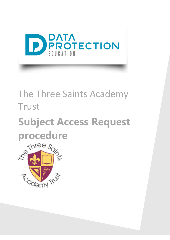

# The Three Saints Academy Trust

# **Subject Access Request procedure**

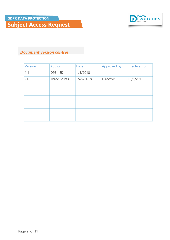

#### *Document version control*

| <b>Version</b> | Author              | <b>Date</b> | Approved by      | <b>Effective from</b> |
|----------------|---------------------|-------------|------------------|-----------------------|
| 1.1            | DPE - JK            | 1/5/2018    |                  |                       |
| 2.0            | <b>Three Saints</b> | 15/5/2018   | <b>Directors</b> | 15/5/2018             |
|                |                     |             |                  |                       |
|                |                     |             |                  |                       |
|                |                     |             |                  |                       |
|                |                     |             |                  |                       |
|                |                     |             |                  |                       |
|                |                     |             |                  |                       |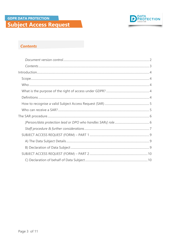

#### **Contents**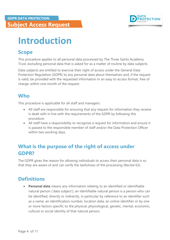

# <span id="page-3-0"></span>**Introduction**

### <span id="page-3-1"></span>**Scope**

This procedure applies to all personal data processed by The Three Saints Academy Trust, excluding personal data that is asked for as a matter of routine by data subjects.

Data subjects are entitled to exercise their right of access under the General Data Protection Regulation (GDPR) to any personal data about themselves and, if the request is valid, be provided with the requested information in an easy to access format, free of charge, within one month of the request.

# <span id="page-3-2"></span>**Who**

This procedure is applicable for all staff and managers:

- All staff are responsible for ensuring that any request for information they receive is dealt with in line with the requirements of the GDPR by following this procedure.
- All staff have a responsibility to recognise a request for information and ensure it is passed to the responsible member of staff and/or the Data Protection Officer within two working days.

# <span id="page-3-3"></span>**What is the purpose of the right of access under GDPR?**

The GDPR gives the reason for allowing individuals to access their personal data is so that they are aware of and can verify the lawfulness of the processing (Recital 63).

# <span id="page-3-4"></span>**Definitions**

**Personal data** means any information relating to an identified or identifiable natural person ('data subject'); an identifiable natural person is a person who can be identified, directly or indirectly, in particular by reference to an identifier such as a name, an identification number, location data, an online identifier or by one or more factors specific to the physical, physiological, genetic, mental, economic, cultural or social identity of that natural person;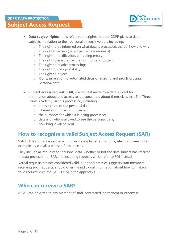

- **Data subject rights** this refers to the rights that the GDPR gives to data subjects in relation to their personal or sensitive data including:
	- o The right to be informed on what data is processed/shared, how and why
	- o The right of access (i.e. subject access requests)
	- o The right to rectification, correcting errors;
	- o The right to erasure (i.e. the right to be forgotten);
	- o The right to restrict processing;
	- o The right to data portability;
	- o The right to object;
	- o Rights in relation to automated decision making and profiling using personal data.
- **Subject access request (SAR)** a request made by a data subject for information about, and access to, personal data about themselves that The Three Saints Academy Trust is processing, including:
	- o a description of the personal data;
	- o where/how it is being processed;
	- o the purposes for which it is being processed;
	- o details of who is allowed to see the personal data;
	- o how long it will be kept.

## <span id="page-4-0"></span>**How to recognise a valid Subject Access Request (SAR)**

Valid SARs should be sent in writing, including by letter, fax or by electronic means for example: by e-mail, a website form or texts.

They include all requests for personal data, whether or not the data subject has referred to data protection or SAR and including requests which refer to FOI instead.

Verbal requests are not considered valid, but good practice suggests staff members receiving such requests, should offer the individual information about how to make a valid request. (See the SAR FORM in the appendix.)

### <span id="page-4-1"></span>**Who can receive a SAR?**

A SAR can be given to any member of staff, contracted, permanent or otherwise.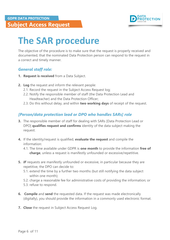

# <span id="page-5-0"></span>**The SAR procedure**

The objective of the procedure is to make sure that the request is properly received and documented, that the nominated Data Protection person can respond to the request in a correct and timely manner.

#### *General staff role:*

- **1. Request is received** from a Data Subject.
- **2. Log** the request and inform the relevant people:
	- 2.1. Record the request in the Subject Access Request log;
	- 2.2. Notify the responsible member of staff (the Data Protection Lead and Headteacher) and the Data Protection Officer;
	- 2.3. Do this without delay, and within **two working days** of receipt of the request.

#### <span id="page-5-1"></span>*[Person/data protection lead or DPO who handles SARs] role*

- **3.** The responsible member of staff for dealing with SARs [Data Protection Lead or DPO] **qualifies request and confirms** identity of the data subject making the request.
- **4.** If the identity/request is qualified, **evaluate the request** and compile the information:
	- 4.1. The time available under GDPR is **one month** to provide the information **free of charge**, unless a request is manifestly unfounded or excessive/repetitive.
- **5.** *IF* requests are manifestly unfounded or excessive, in particular because they are repetitive, the DPO can decide to:
	- 5.1. extend the time by a further two months (but still notifying the data subject within one month);
	- 5.2. charge a reasonable fee for administrative costs of providing the information; or
	- 5.3. refuse to respond.
- **6. Compile** and **send** the requested data. If the request was made electronically (digitally), you should provide the information in a commonly used electronic format.
- **7. Close** the request in Subject Access Request Log.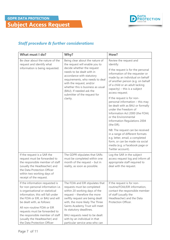

### <span id="page-6-0"></span>*Staff procedure & further considerations*

| <b>What must I do?</b>                                                                                                                                                                                                                                                                                                                                                             | Why?                                                                                                                                                                                                                                                                                                                                                                     | How?                                                                                                                                                                                                                                                                                                                                                                                                                                                                                                                                                                                                                                                                                                                  |
|------------------------------------------------------------------------------------------------------------------------------------------------------------------------------------------------------------------------------------------------------------------------------------------------------------------------------------------------------------------------------------|--------------------------------------------------------------------------------------------------------------------------------------------------------------------------------------------------------------------------------------------------------------------------------------------------------------------------------------------------------------------------|-----------------------------------------------------------------------------------------------------------------------------------------------------------------------------------------------------------------------------------------------------------------------------------------------------------------------------------------------------------------------------------------------------------------------------------------------------------------------------------------------------------------------------------------------------------------------------------------------------------------------------------------------------------------------------------------------------------------------|
| Be clear about the nature of the<br>request and identify what<br>information is being requested.                                                                                                                                                                                                                                                                                   | Being clear about the nature of<br>the request will enable you to<br>decide whether the request<br>needs to be dealt with in<br>accordance with statutory<br>requirements, who needs to deal<br>with the request, and/or<br>whether this is business as usual<br>(BAU). If needed ask the<br>submitter of the request for<br>clarity.                                    | Review the request and<br>identify:<br>If the request is for the personal<br>information of the requester or<br>made by an individual on behalf<br>of another person (e.g. on behalf<br>of a child or an adult lacking<br>capacity) $-$ this is a subject<br>access request;<br>If the request is for non-<br>personal information - this may<br>be dealt with as BAU or formally<br>under the Freedom of<br>Information Act 2000 (the FOIA)<br>or the Environmental<br>Information Regulations 2004<br>(the EIR).<br>NB: The request can be received<br>in a range of different formats<br>e.g. letter, email, a completed<br>form, or can be made via social<br>media (e.g. a Facebook page or<br>Twitter account). |
| If the request is a SAR the<br>request must be forwarded to<br>the responsible member of staff<br>(usually the Headteacher) and<br>the Data Protection Officer<br>within two working days of<br>receipt of the request.                                                                                                                                                            | The GDPR stipulates that SARs<br>must be completed within one<br>month of the request - but in<br>reality, as soon as possible.                                                                                                                                                                                                                                          | Log the SAR in the subject<br>access request log and inform all<br>appropriate staff required to<br>deal with the request.                                                                                                                                                                                                                                                                                                                                                                                                                                                                                                                                                                                            |
| If the information requested is<br>for non-personal information i.e.<br>is organisational or statistical<br>information, this will fall under<br>the FOIA or EIR, or BAU and will<br>be dealt with, as follows:<br>All non-routine FOIA or EIR<br>requests must be forwarded to<br>the responsible member of staff<br>(usually the Headteacher) and<br>the Data Protection Officer | The FOIA and EIR stipulates that<br>requests must be completed<br>within 20 working days of the<br>request - therefore the more<br>swiftly request are being dealt<br>with, the more likely The Three<br>Saints Academy Trust will meet<br>its statutory deadlines.<br>BAU requests need to be dealt<br>with by an individual in that<br>particular service area who can | If the request is for non-<br>routine/FOIA/EIR information,<br>contact the responsible member<br>of staff (usually the<br>Headteacher) and the Data<br>Protection Officer.                                                                                                                                                                                                                                                                                                                                                                                                                                                                                                                                            |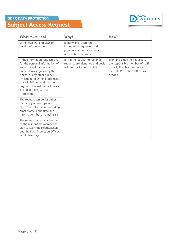

| What must I do?                                                                                                                                                                                                                                                                                                      | Why?                                                                                                         | How?                                                                                                                                           |
|----------------------------------------------------------------------------------------------------------------------------------------------------------------------------------------------------------------------------------------------------------------------------------------------------------------------|--------------------------------------------------------------------------------------------------------------|------------------------------------------------------------------------------------------------------------------------------------------------|
| within two working days of<br>receipt of the request.                                                                                                                                                                                                                                                                | identify and locate the<br>information requested and<br>provide a response within a<br>reasonable timeframe. |                                                                                                                                                |
| If the information requested is<br>for the personal information of<br>an individual for use in a<br>criminal investigation by the<br>police, or any other agency<br>investigating criminal offences,<br>this will fall under either the<br>regulatory Investigative Powers<br>Act 2000 (RIPA) or Data<br>Protection. | It is in the public interest that<br>requests are identified and dealt<br>with as quickly as possible.       | Scan and email the request to<br>the responsible member of staff<br>(usually the Headteacher) and<br>the Data Protection Officer as<br>needed. |
| The request can be for either<br>hard copy or any type of<br>electronic information including<br>email traffic ie the time and<br>information that an email is sent.                                                                                                                                                 |                                                                                                              |                                                                                                                                                |
| The request must be forwarded<br>to the responsible member of<br>staff (usually the Headteacher)<br>and the Data Protection Officer<br>within two days.                                                                                                                                                              |                                                                                                              |                                                                                                                                                |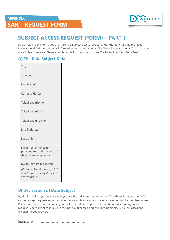

# **SAR – REQUEST FORM**

# <span id="page-8-0"></span>**SUBJECT ACCESS REQUEST (FORM) – PART 1**

By completing this form, you are making a subject access request under the General Data Protection Regulation (GDPR) for personal information held about you by The Three Saints Academy Trust that you are eligible to receive. Please complete this form and return it *to The Three Saints Academy Trust..*

#### <span id="page-8-1"></span>**A) The Data Subject Details**

| Title                                                                                |  |
|--------------------------------------------------------------------------------------|--|
| Surname                                                                              |  |
| First Name(s)                                                                        |  |
| <b>Current Address</b>                                                               |  |
| Telephone (Home)                                                                     |  |
| Telephone (Work)                                                                     |  |
| Telephone (Mobile)                                                                   |  |
| Email address                                                                        |  |
| Date of birth                                                                        |  |
| Details of identification<br>provided to confirm name of<br>data subject in question |  |
| Details of data requested:                                                           |  |
| [Example: Emails between "A"<br>and "B" from 1 May 2017 to 6<br>September 2017.]     |  |

#### <span id="page-8-2"></span>**B) Declaration of Data Subject**

By signing below, you indicate that you are the individual named above. The Three Saints Academy Trust cannot accept requests regarding your personal data from anyone else including family members – see Part 2. We may need to contact you for further identifying information before responding to your request. You warrant that you are the individual named and will fully indemnify us for all losses and expenses if you are not.

Signature: …………………………………………………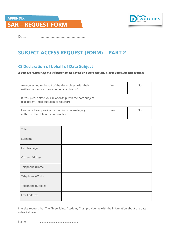### **APPENDIX SAR – REQUEST FORM**



<span id="page-9-0"></span>Date: …………………………………………………

# **SUBJECT ACCESS REQUEST (FORM) – PART 2**

#### <span id="page-9-1"></span>**C) Declaration of behalf of Data Subject**

*If you are requesting the information on behalf of a data subject, please complete this section:*

| Are you acting on behalf of the data subject with their<br>written consent or in another legal authority?   | Yes | No |
|-------------------------------------------------------------------------------------------------------------|-----|----|
| If 'Yes' please state your relationship with the data subject<br>(e.g. parent, legal guardian or solicitor) |     |    |
| Has proof been provided to confirm you are legally<br>authorised to obtain the information?                 | Yes | No |

| Title                  |  |
|------------------------|--|
| Surname                |  |
| First Name(s)          |  |
| <b>Current Address</b> |  |
| Telephone (Home)       |  |
| Telephone (Work)       |  |
| Telephone (Mobile)     |  |
| Email address          |  |

I hereby request that The Three Saints Academy Trust provide me with the information about the data subject above.

Name …………………………………………………